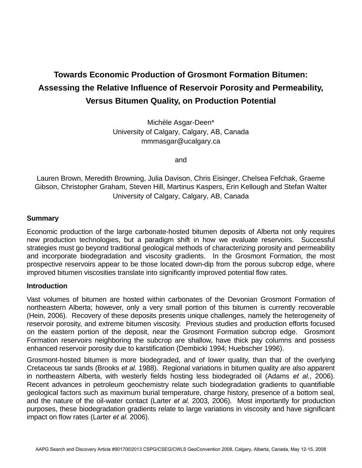# **Towards Economic Production of Grosmont Formation Bitumen: Assessing the Relative Influence of Reservoir Porosity and Permeability, Versus Bitumen Quality, on Production Potential**

Michèle Asgar-Deen\* University of Calgary, Calgary, AB, Canada mmmasgar@ucalgary.ca

and

Lauren Brown, Meredith Browning, Julia Davison, Chris Eisinger, Chelsea Fefchak, Graeme Gibson, Christopher Graham, Steven Hill, Martinus Kaspers, Erin Kellough and Stefan Walter University of Calgary, Calgary, AB, Canada

### **Summary**

Economic production of the large carbonate-hosted bitumen deposits of Alberta not only requires new production technologies, but a paradigm shift in how we evaluate reservoirs. Successful strategies must go beyond traditional geological methods of characterizing porosity and permeability and incorporate biodegradation and viscosity gradients. In the Grosmont Formation, the most prospective reservoirs appear to be those located down-dip from the porous subcrop edge, where improved bitumen viscosities translate into significantly improved potential flow rates.

#### **Introduction**

Vast volumes of bitumen are hosted within carbonates of the Devonian Grosmont Formation of northeastern Alberta; however, only a very small portion of this bitumen is currently recoverable (Hein, 2006). Recovery of these deposits presents unique challenges, namely the heterogeneity of reservoir porosity, and extreme bitumen viscosity. Previous studies and production efforts focused on the eastern portion of the deposit, near the Grosmont Formation subcrop edge. Grosmont Formation reservoirs neighboring the subcrop are shallow, have thick pay columns and possess enhanced reservoir porosity due to karstification (Dembicki 1994; Huebscher 1996).

Grosmont-hosted bitumen is more biodegraded, and of lower quality, than that of the overlying Cretaceous tar sands (Brooks *et al.* 1988). Regional variations in bitumen quality are also apparent in northeastern Alberta, with westerly fields hosting less biodegraded oil (Adams *et al*., 2006). Recent advances in petroleum geochemistry relate such biodegradation gradients to quantifiable geological factors such as maximum burial temperature, charge history, presence of a bottom seal, and the nature of the oil-water contact (Larter *et al.* 2003, 2006). Most importantly for production purposes, these biodegradation gradients relate to large variations in viscosity and have significant impact on flow rates (Larter *et al.* 2006).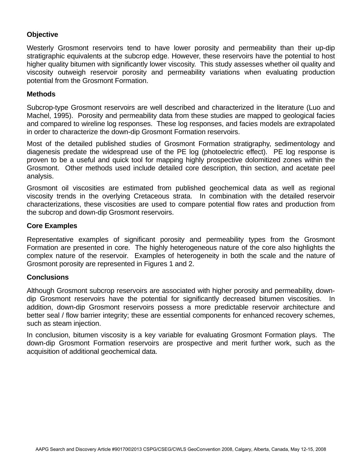## **Objective**

Westerly Grosmont reservoirs tend to have lower porosity and permeability than their up-dip stratigraphic equivalents at the subcrop edge. However, these reservoirs have the potential to host higher quality bitumen with significantly lower viscosity. This study assesses whether oil quality and viscosity outweigh reservoir porosity and permeability variations when evaluating production potential from the Grosmont Formation.

#### **Methods**

Subcrop-type Grosmont reservoirs are well described and characterized in the literature (Luo and Machel, 1995). Porosity and permeability data from these studies are mapped to geological facies and compared to wireline log responses. These log responses, and facies models are extrapolated in order to characterize the down-dip Grosmont Formation reservoirs.

Most of the detailed published studies of Grosmont Formation stratigraphy, sedimentology and diagenesis predate the widespread use of the PE log (photoelectric effect). PE log response is proven to be a useful and quick tool for mapping highly prospective dolomitized zones within the Grosmont. Other methods used include detailed core description, thin section, and acetate peel analysis.

Grosmont oil viscosities are estimated from published geochemical data as well as regional viscosity trends in the overlying Cretaceous strata. In combination with the detailed reservoir characterizations, these viscosities are used to compare potential flow rates and production from the subcrop and down-dip Grosmont reservoirs.

#### **Core Examples**

Representative examples of significant porosity and permeability types from the Grosmont Formation are presented in core. The highly heterogeneous nature of the core also highlights the complex nature of the reservoir. Examples of heterogeneity in both the scale and the nature of Grosmont porosity are represented in Figures 1 and 2.

#### **Conclusions**

Although Grosmont subcrop reservoirs are associated with higher porosity and permeability, downdip Grosmont reservoirs have the potential for significantly decreased bitumen viscosities. In addition, down-dip Grosmont reservoirs possess a more predictable reservoir architecture and better seal / flow barrier integrity; these are essential components for enhanced recovery schemes, such as steam injection.

In conclusion, bitumen viscosity is a key variable for evaluating Grosmont Formation plays. The down-dip Grosmont Formation reservoirs are prospective and merit further work, such as the acquisition of additional geochemical data.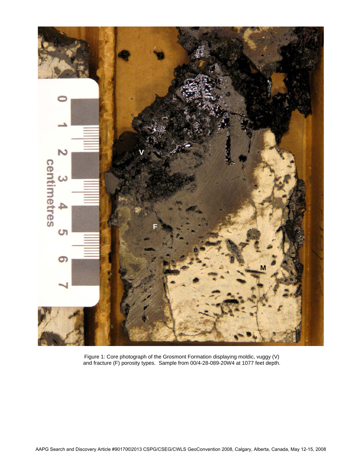

Figure 1: Core photograph of the Grosmont Formation displaying moldic, vuggy (V) and fracture (F) porosity types. Sample from 00/4-28-089-20W4 at 1077 feet depth.